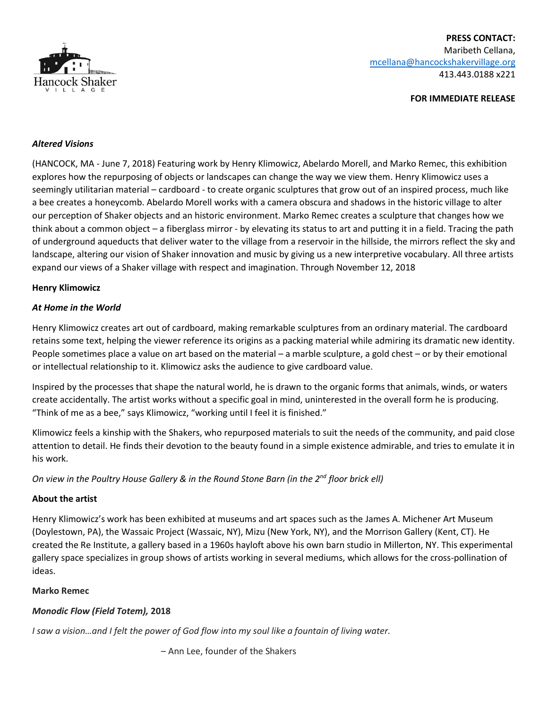

### **FOR IMMEDIATE RELEASE**

### *Altered Visions*

(HANCOCK, MA - June 7, 2018) Featuring work by Henry Klimowicz, Abelardo Morell, and Marko Remec, this exhibition explores how the repurposing of objects or landscapes can change the way we view them. Henry Klimowicz uses a seemingly utilitarian material – cardboard - to create organic sculptures that grow out of an inspired process, much like a bee creates a honeycomb. Abelardo Morell works with a camera obscura and shadows in the historic village to alter our perception of Shaker objects and an historic environment. Marko Remec creates a sculpture that changes how we think about a common object – a fiberglass mirror - by elevating its status to art and putting it in a field. Tracing the path of underground aqueducts that deliver water to the village from a reservoir in the hillside, the mirrors reflect the sky and landscape, altering our vision of Shaker innovation and music by giving us a new interpretive vocabulary. All three artists expand our views of a Shaker village with respect and imagination. Through November 12, 2018

#### **Henry Klimowicz**

### *At Home in the World*

Henry Klimowicz creates art out of cardboard, making remarkable sculptures from an ordinary material. The cardboard retains some text, helping the viewer reference its origins as a packing material while admiring its dramatic new identity. People sometimes place a value on art based on the material – a marble sculpture, a gold chest – or by their emotional or intellectual relationship to it. Klimowicz asks the audience to give cardboard value.

Inspired by the processes that shape the natural world, he is drawn to the organic forms that animals, winds, or waters create accidentally. The artist works without a specific goal in mind, uninterested in the overall form he is producing. "Think of me as a bee," says Klimowicz, "working until I feel it is finished."

Klimowicz feels a kinship with the Shakers, who repurposed materials to suit the needs of the community, and paid close attention to detail. He finds their devotion to the beauty found in a simple existence admirable, and tries to emulate it in his work.

On view in the Poultry House Gallery & in the Round Stone Barn (in the 2<sup>nd</sup> floor brick ell)

#### **About the artist**

Henry Klimowicz's work has been exhibited at museums and art spaces such as the James A. Michener Art Museum (Doylestown, PA), the Wassaic Project (Wassaic, NY), Mizu (New York, NY), and the Morrison Gallery (Kent, CT). He created the Re Institute, a gallery based in a 1960s hayloft above his own barn studio in Millerton, NY. This experimental gallery space specializes in group shows of artists working in several mediums, which allows for the cross-pollination of ideas.

#### **Marko Remec**

## *Monodic Flow (Field Totem),* **2018**

*I saw a vision…and I felt the power of God flow into my soul like a fountain of living water.*

– Ann Lee, founder of the Shakers